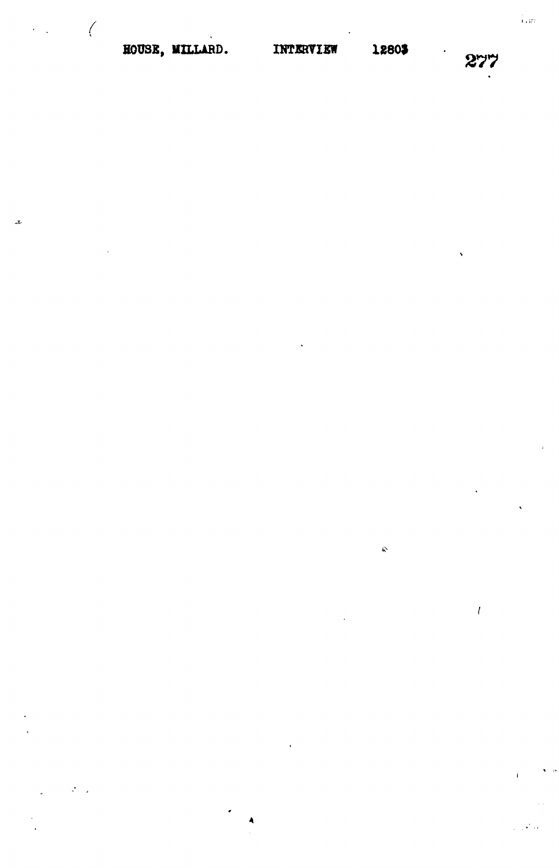# HOUSE, MILLARD. INTERVIEW

 $\bigg($ 

x.

 $\hat{\kappa}$ 

 $\bar{l}$ 

 $\ddot{\phantom{0}}$ 

i<br>Leta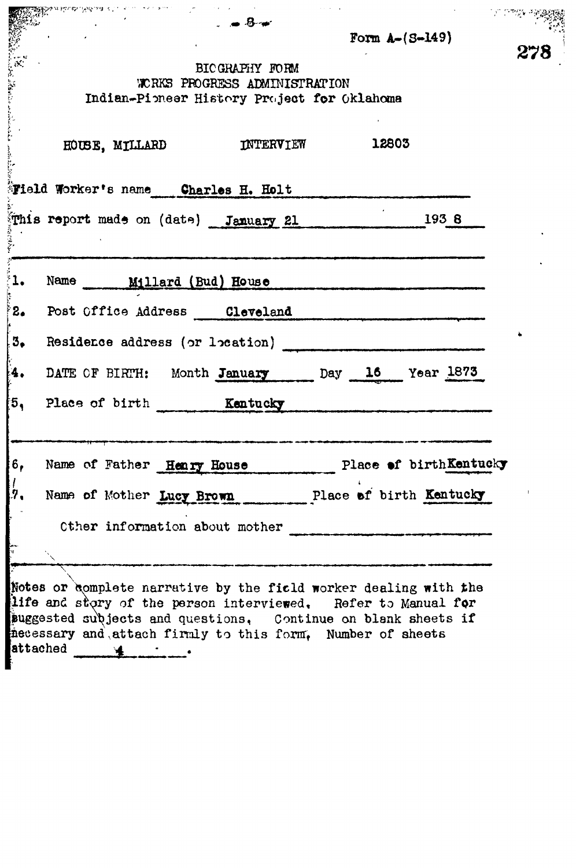|     | $     -$<br>Form $A - (S - 149)$                                                                                                                                                                                                                                                   |     |
|-----|------------------------------------------------------------------------------------------------------------------------------------------------------------------------------------------------------------------------------------------------------------------------------------|-----|
|     | BICGRAPHY FORM<br>WORKS PROGRESS ADMINISTRATION<br>Indian-Pioneer History Project for Oklahoma                                                                                                                                                                                     | 278 |
|     | 12803<br>INTERVIEW<br>HOUSE, MILLARD                                                                                                                                                                                                                                               |     |
|     | <b>Field Worker's name Charles H. Holt</b>                                                                                                                                                                                                                                         |     |
|     | This report made on (date) January 21<br>1938                                                                                                                                                                                                                                      |     |
| ř1. | Name ______ Millard (Bud) House                                                                                                                                                                                                                                                    |     |
| 8.  | Post Office Address Cleveland                                                                                                                                                                                                                                                      |     |
| 3.5 | Residence address (or location)                                                                                                                                                                                                                                                    |     |
| ŀ4. | DATE OF BIRTH: Month January Day 16 Year 1873                                                                                                                                                                                                                                      |     |
| ้5, | Place of birth Kentucky                                                                                                                                                                                                                                                            |     |
| 6,  | Name of Father Henry House Place of birthKentucky                                                                                                                                                                                                                                  |     |
| [7, | Name of Mother Lucy Brown Place of birth Kentucky                                                                                                                                                                                                                                  |     |
|     | Other information about mother                                                                                                                                                                                                                                                     |     |
|     |                                                                                                                                                                                                                                                                                    |     |
|     | Notes or complete narrative by the field worker dealing with the<br>life and story of the person interviewed. Refer to Manual for<br>suggested subjects and questions, Continue on blank sheets if<br>mecessary and attach firmly to this form, Number of sheets<br>attached 4 - 1 |     |

i<br>L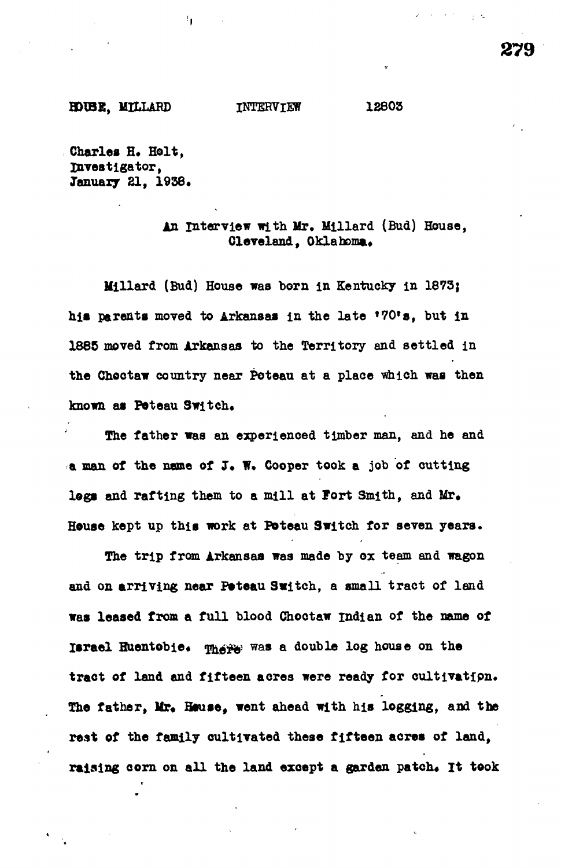5

**HOtBE, MILLABD INTERVIEW 12803**

**Charles H. Holt, investigator,** January 21, 1938.

# **interview with Mr. Mlllard (Bud) House, Cleveland, Oklahoma.**

**Millard (Bud) House was horn in Kentucky in 1873;** his parents moved to Arkansas in the late \*70's, but in **1885 moved from Arkansas to the Territory and settled in the Choctaw country near Peteau at a place which was then** known as Poteau Switch.

**The father was an experienced timber man, and he and a man of the name of J« W. Cooper took a job of cutting logs and rafting them to a mill at Fort Smith, and Mr. House kept up this work at Poteau Switch for seven years.**

**The trip from Arkansas was made by ox team and wagon and on arriving near Poteau Switch, a small tract of land was leased from a full blood Choctaw Indian of the name of** Israel Huentobie. **Where** was a double log house on the **tract of land and fifteen aores were ready for cultivatipn. The father, Mr, House, went ahead with his logging, and the rest of the family cultivated these fifteen acres of land,** raising corn on all the land except a garden patch. It took

 $\sim 10^{-1}$  eV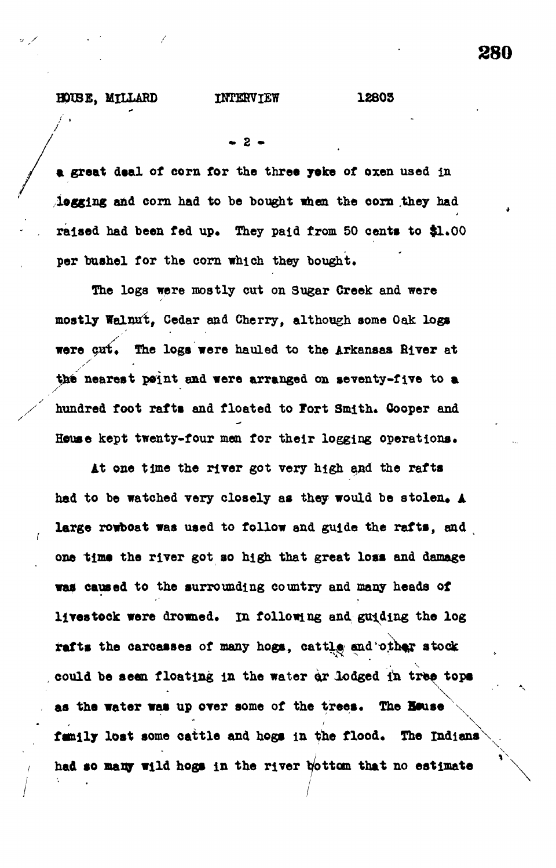### **BOUSE, MILLARD INTERVIEW 12803**

 $2 -$ 

**a great deal of corn for the three yoke of oxen used in logging and corn had to be bought when the corn they had** raised had been fed up. They paid from 50 cents to \$1.00 per bushel for the corn which they bought.

**The loga were mostly cut on Sugar Creek and were mostly Walnut, Cedar and Cherry, although some Oak logs** were cut. The logs were hauled to the Arkansas River at **the nearest point and were arranged on seventy-five to a** hundred foot rafts and floated to Fort Smith. Gooper and House kept twenty-four men for their logging operations.

**At one time the river got very high and the rafts** had to be watched very closely as they would be stolen. A **large rowboat was used to follow and guide the rafts, and one time the river got so high that great loss and damage** was caused to the surrounding country and many heads of livestock were drowned. In following and guiding the log rafts the carcasses of many hogs, cattle and other stock **could be seen floating in the water ox lodged in tree tops** as the water was up over some of the trees. The **House** family lost some cattle and hogs in the flood. The Indians **had so many wild hogs in the river bottom that no estimate \**

**/**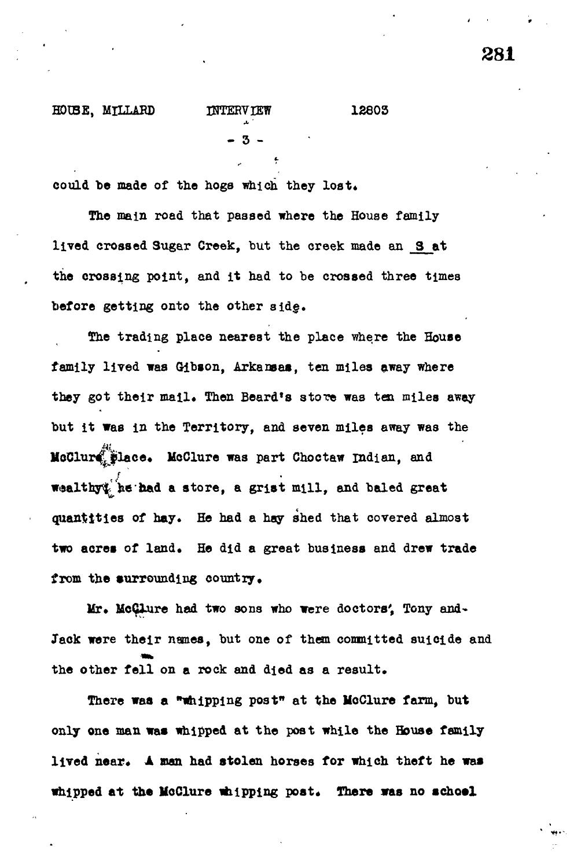# **HOIBE, MILLAED INTERVIEW 12803**

**\*• '**

could be made of the hogs which they lost.

The main road that passed where the House family **lived crossed Sugar Creek, but the creek made an 3 at the crossing point, and it had to be crossed three times before getting onto the other sid§.**

**The trading place nearest the place where the House family lived was Gibson, Arkansas, ten miles away where** they got their mail. Then Beard's store was ten miles away **but it was in the Territory, and seven miles away was the MoClur^Jilace. McClure was part Choc taw Indian, and Wtsalthy^fee• had a store, a grist mill, and baled great** quantities of hay. He had a hay shed that covered almost two acres of land. He did a great business and drew trade from the surrounding country.

Mr. McClure had two sons who were doctors', Tony and-Jack were their names, but one of them committed suicide and the other fell on a rock and died as a result.

**There was a "whipping post" at the McClure farm, but only one man was whipped at the post while the House family** lived near. A man had stolen horses for which theft he was whipped at the McClure whipping post. There was no school